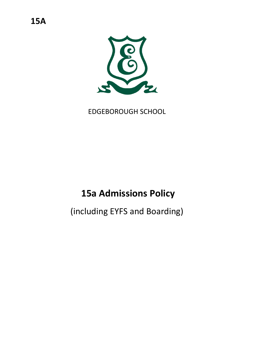

EDGEBOROUGH SCHOOL

# **15a Admissions Policy**

(including EYFS and Boarding)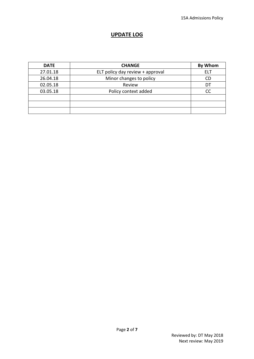### **UPDATE LOG**

| <b>DATE</b> | <b>CHANGE</b>                    | By Whom    |
|-------------|----------------------------------|------------|
| 27.01.18    | ELT policy day review + approval | <b>ELT</b> |
| 26.04.18    | Minor changes to policy          | <b>CD</b>  |
| 02.05.18    | Review                           | DT         |
| 03.05.18    | Policy context added             | <b>CC</b>  |
|             |                                  |            |
|             |                                  |            |
|             |                                  |            |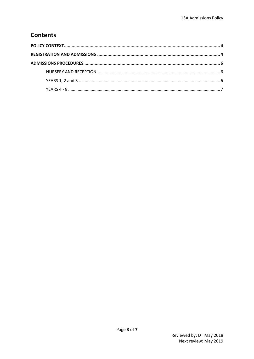## **Contents**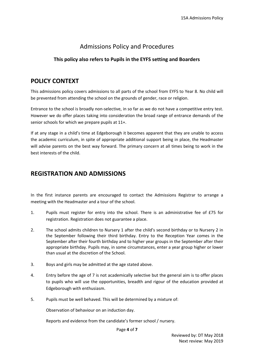## Admissions Policy and Procedures

#### **This policy also refers to Pupils in the EYFS setting and Boarders**

## <span id="page-3-0"></span>**POLICY CONTEXT**

This admissions policy covers admissions to all parts of the school from EYFS to Year 8. No child will be prevented from attending the school on the grounds of gender, race or religion.

Entrance to the school is broadly non-selective, in so far as we do not have a competitive entry test. However we do offer places taking into consideration the broad range of entrance demands of the senior schools for which we prepare pupils at 11+.

If at any stage in a child's time at Edgeborough it becomes apparent that they are unable to access the academic curriculum, in spite of appropriate additional support being in place, the Headmaster will advise parents on the best way forward. The primary concern at all times being to work in the best interests of the child.

## <span id="page-3-1"></span>**REGISTRATION AND ADMISSIONS**

In the first instance parents are encouraged to contact the Admissions Registrar to arrange a meeting with the Headmaster and a tour of the school.

- 1. Pupils must register for entry into the school. There is an administrative fee of £75 for registration. Registration does not guarantee a place.
- 2. The school admits children to Nursery 1 after the child's second birthday or to Nursery 2 in the September following their third birthday. Entry to the Reception Year comes in the September after their fourth birthday and to higher year groups in the September after their appropriate birthday. Pupils may, in some circumstances, enter a year group higher or lower than usual at the discretion of the School.
- 3. Boys and girls may be admitted at the age stated above.
- 4. Entry before the age of 7 is not academically selective but the general aim is to offer places to pupils who will use the opportunities, breadth and rigour of the education provided at Edgeborough with enthusiasm.
- 5. Pupils must be well behaved. This will be determined by a mixture of:

Observation of behaviour on an induction day.

Reports and evidence from the candidate's former school / nursery.

Page **4** of **7**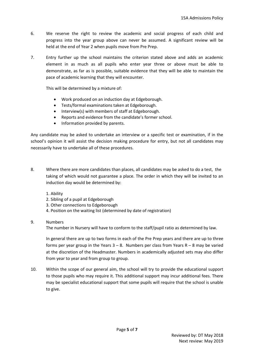- 6. We reserve the right to review the academic and social progress of each child and progress into the year group above can never be assumed. A significant review will be held at the end of Year 2 when pupils move from Pre Prep.
- 7. Entry further up the school maintains the criterion stated above and adds an academic element in as much as all pupils who enter year three or above must be able to demonstrate, as far as is possible, suitable evidence that they will be able to maintain the pace of academic learning that they will encounter.

This will be determined by a mixture of:

- Work produced on an induction day at Edgeborough.
- Tests/formal examinations taken at Edgeborough.
- Interview(s) with members of staff at Edgeborough.
- Reports and evidence from the candidate's former school.
- Information provided by parents.

Any candidate may be asked to undertake an interview or a specific test or examination, if in the school's opinion it will assist the decision making procedure for entry, but not all candidates may necessarily have to undertake all of these procedures.

- 8. Where there are more candidates than places, all candidates may be asked to do a test, the taking of which would not guarantee a place. The order in which they will be invited to an induction day would be determined by:
	- 1. Ability
	- 2. Sibling of a pupil at Edgeborough
	- 3. Other connections to Edgeborough
	- 4. Position on the waiting list (determined by date of registration)

#### 9. Numbers

The number in Nursery will have to conform to the staff/pupil ratio as determined by law.

In general there are up to two forms in each of the Pre Prep years and there are up to three forms per year group in the Years  $3 - 8$ . Numbers per class from Years R  $- 8$  may be varied at the discretion of the Headmaster. Numbers in academically adjusted sets may also differ from year to year and from group to group.

10. Within the scope of our general aim, the school will try to provide the educational support to those pupils who may require it. This additional support may incur additional fees. There may be specialist educational support that some pupils will require that the school is unable to give.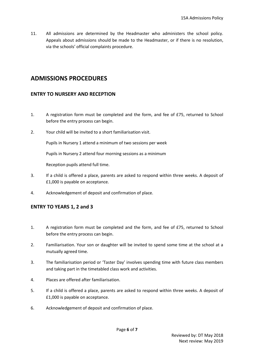11. All admissions are determined by the Headmaster who administers the school policy. Appeals about admissions should be made to the Headmaster, or if there is no resolution, via the schools' official complaints procedure.

## <span id="page-5-0"></span>**ADMISSIONS PROCEDURES**

#### <span id="page-5-1"></span>**ENTRY TO NURSERY AND RECEPTION**

- 1. A registration form must be completed and the form, and fee of £75, returned to School before the entry process can begin.
- 2. Your child will be invited to a short familiarisation visit.

Pupils in Nursery 1 attend a minimum of two sessions per week

Pupils in Nursery 2 attend four morning sessions as a minimum

Reception pupils attend full time.

- 3. If a child is offered a place, parents are asked to respond within three weeks. A deposit of £1,000 is payable on acceptance.
- 4. Acknowledgement of deposit and confirmation of place.

#### <span id="page-5-2"></span>**ENTRY TO YEARS 1, 2 and 3**

- 1. A registration form must be completed and the form, and fee of £75, returned to School before the entry process can begin.
- 2. Familiarisation. Your son or daughter will be invited to spend some time at the school at a mutually agreed time.
- 3. The familiarisation period or 'Taster Day' involves spending time with future class members and taking part in the timetabled class work and activities.
- 4. Places are offered after familiarisation.
- 5. If a child is offered a place, parents are asked to respond within three weeks. A deposit of £1,000 is payable on acceptance.
- 6. Acknowledgement of deposit and confirmation of place.